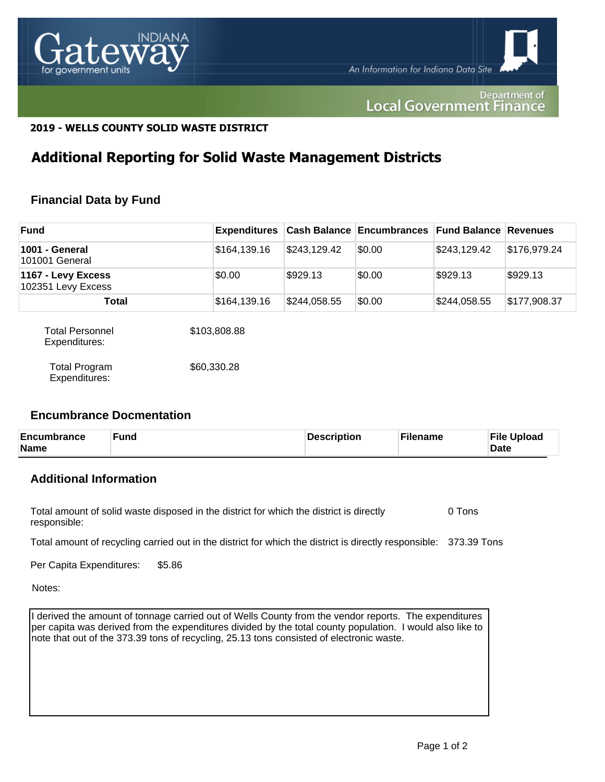

#### Department of **Local Government Finance**

### **2019 - WELLS COUNTY SOLID WASTE DISTRICT**

## **Additional Reporting for Solid Waste Management Districts**

## **Financial Data by Fund**

| <b>Fund</b>                              |              |              | <b>Expenditures</b> Cash Balance Encumbrances Fund Balance Revenues |              |              |
|------------------------------------------|--------------|--------------|---------------------------------------------------------------------|--------------|--------------|
| 1001 - General<br>101001 General         | \$164,139.16 | \$243,129.42 | \$0.00                                                              | \$243,129.42 | \$176,979.24 |
| 1167 - Levy Excess<br>102351 Levy Excess | \$0.00       | \$929.13     | \$0.00                                                              | \$929.13     | \$929.13     |
| Total                                    | \$164,139.16 | \$244,058.55 | \$0.00                                                              | \$244,058.55 | \$177,908.37 |

| <b>Total Personnel</b><br>Expenditures: | \$103,808.88 |
|-----------------------------------------|--------------|
| Total Program<br>Expenditures:          | \$60,330,28  |

#### **Encumbrance Docmentation**

| Encumbrance<br>Name | Fund | Description | Filename | <b>File Upload</b><br><b>Date</b> |
|---------------------|------|-------------|----------|-----------------------------------|
|---------------------|------|-------------|----------|-----------------------------------|

## **Additional Information**

Total amount of solid waste disposed in the district for which the district is directly responsible: 0 Tons

Total amount of recycling carried out in the district for which the district is directly responsible: 373.39 Tons

Per Capita Expenditures: \$5.86

Notes:

I derived the amount of tonnage carried out of Wells County from the vendor reports. The expenditures per capita was derived from the expenditures divided by the total county population. I would also like to note that out of the 373.39 tons of recycling, 25.13 tons consisted of electronic waste.